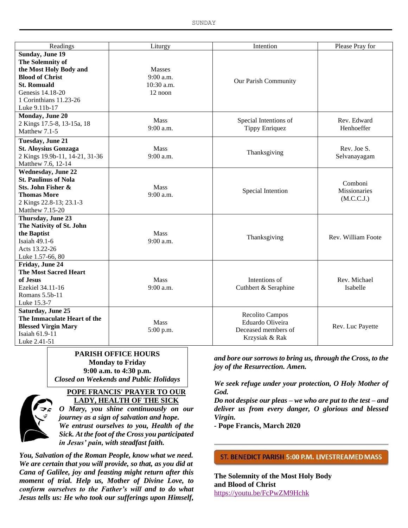| Readings                       | Liturgy       | Intention             | Please Pray for     |
|--------------------------------|---------------|-----------------------|---------------------|
| Sunday, June 19                |               |                       |                     |
| The Solemnity of               |               |                       |                     |
| the Most Holy Body and         | <b>Masses</b> |                       |                     |
| <b>Blood of Christ</b>         | $9:00$ a.m.   | Our Parish Community  |                     |
| <b>St. Romuald</b>             | 10:30 a.m.    |                       |                     |
| Genesis 14.18-20               | 12 noon       |                       |                     |
| 1 Corinthians 11.23-26         |               |                       |                     |
| Luke 9.11b-17                  |               |                       |                     |
| Monday, June 20                | <b>Mass</b>   |                       | Rev. Edward         |
| 2 Kings 17.5-8, 13-15a, 18     | 9:00 a.m.     | Special Intentions of | Henhoeffer          |
| Matthew 7.1-5                  |               | <b>Tippy Enriquez</b> |                     |
| Tuesday, June 21               |               |                       |                     |
| <b>St. Aloysius Gonzaga</b>    | Mass          | Thanksgiving          | Rev. Joe S.         |
| 2 Kings 19.9b-11, 14-21, 31-36 | 9:00 a.m.     |                       | Selvanayagam        |
| Matthew 7.6, 12-14             |               |                       |                     |
| <b>Wednesday, June 22</b>      |               |                       |                     |
| <b>St. Paulinus of Nola</b>    |               |                       | Comboni             |
| Sts. John Fisher &             | Mass          | Special Intention     | <b>Missionaries</b> |
| <b>Thomas More</b>             | 9:00 a.m.     |                       | (M.C.C.J.)          |
| 2 Kings 22.8-13; 23.1-3        |               |                       |                     |
| Matthew 7.15-20                |               |                       |                     |
| Thursday, June 23              |               |                       |                     |
| The Nativity of St. John       |               |                       |                     |
| the Baptist                    | <b>Mass</b>   | Thanksgiving          | Rev. William Foote  |
| Isaiah 49.1-6                  | 9:00 a.m.     |                       |                     |
| Acts 13.22-26                  |               |                       |                     |
| Luke 1.57-66, 80               |               |                       |                     |
| Friday, June 24                |               |                       |                     |
| <b>The Most Sacred Heart</b>   |               |                       |                     |
| of Jesus                       | Mass          | Intentions of         | Rev. Michael        |
| Ezekiel 34.11-16               | $9:00$ a.m.   | Cuthbert & Seraphine  | Isabelle            |
| Romans 5.5b-11                 |               |                       |                     |
| Luke 15.3-7                    |               |                       |                     |
| Saturday, June 25              |               | Recolito Campos       |                     |
| The Immaculate Heart of the    | Mass          | Eduardo Oliveira      |                     |
| <b>Blessed Virgin Mary</b>     | 5:00 p.m.     | Deceased members of   | Rev. Luc Payette    |
| Isaiah 61.9-11                 |               | Krzysiak & Rak        |                     |
| Luke 2.41-51                   |               |                       |                     |

#### **PARISH OFFICE HOURS Monday to Friday 9:00 a.m. to 4:30 p.m.**

*Closed on Weekends and Public Holidays*



#### **POPE FRANCIS' PRAYER TO OUR LADY, HEALTH OF THE SICK**

*O Mary, you shine continuously on our journey as a sign of salvation and hope. We entrust ourselves to you, Health of the Sick. At the foot of the Cross you participated in Jesus' pain, with steadfast faith.*

*You, Salvation of the Roman People, know what we need. We are certain that you will provide, so that, as you did at Cana of Galilee, joy and feasting might return after this moment of trial. Help us, Mother of Divine Love, to conform ourselves to the Father's will and to do what Jesus tells us: He who took our sufferings upon Himself,* 

*and bore our sorrows to bring us, through the Cross, to the joy of the Resurrection. Amen.*

*We seek refuge under your protection, O Holy Mother of God.*

*Do not despise our pleas – we who are put to the test – and deliver us from every danger, O glorious and blessed Virgin.*

*-* **Pope Francis, March 2020**

#### ST. BENEDICT PARISH 5:00 P.M. LIVESTREAMED MASS

**The Solemnity of the Most Holy Body and Blood of Christ** https://youtu.be/FcPwZM9Hchk